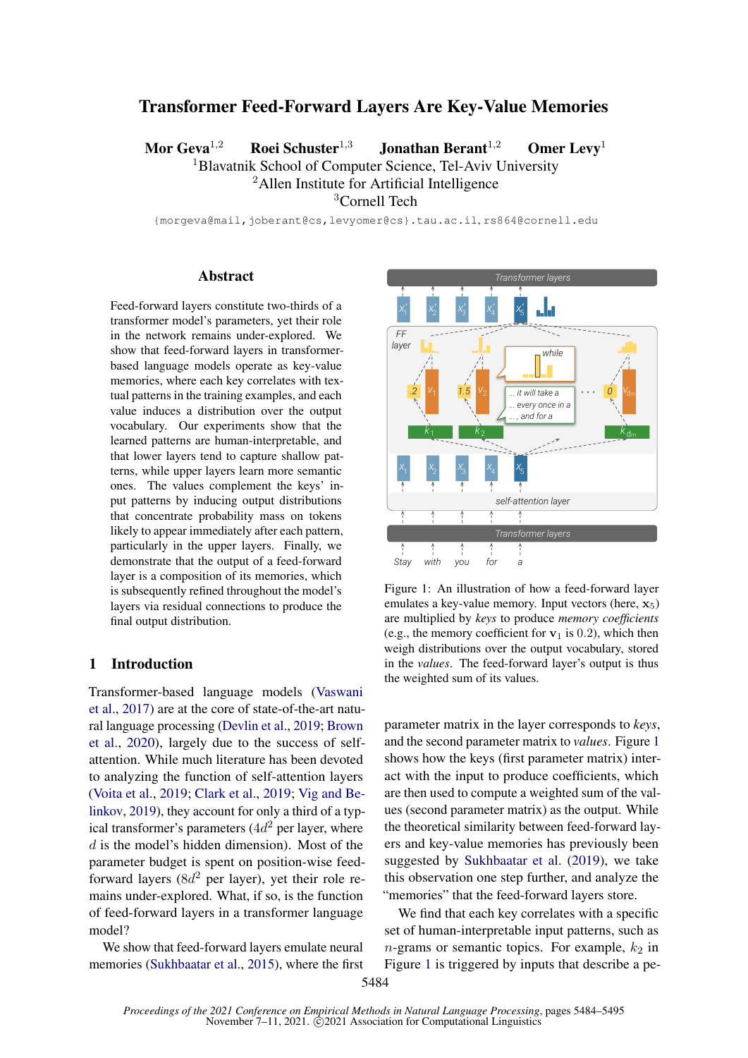# Transformer Feed-Forward Layers Are Key-Value Memories

Mor Geva<sup>1,2</sup> Roei Schuster<sup>1,3</sup> Jonathan Berant<sup>1,2</sup> Omer Levy<sup>1</sup> <sup>1</sup>Blavatnik School of Computer Science, Tel-Aviv University

<sup>2</sup>Allen Institute for Artificial Intelligence

<sup>3</sup>Cornell Tech

{morgeva@mail,joberant@cs,levyomer@cs}.tau.ac.il, rs864@cornell.edu

### Abstract

Feed-forward layers constitute two-thirds of a transformer model's parameters, yet their role in the network remains under-explored. We show that feed-forward layers in transformerbased language models operate as key-value memories, where each key correlates with textual patterns in the training examples, and each value induces a distribution over the output vocabulary. Our experiments show that the learned patterns are human-interpretable, and that lower layers tend to capture shallow patterns, while upper layers learn more semantic ones. The values complement the keys' input patterns by inducing output distributions that concentrate probability mass on tokens likely to appear immediately after each pattern, particularly in the upper layers. Finally, we demonstrate that the output of a feed-forward layer is a composition of its memories, which is subsequently refined throughout the model's layers via residual connections to produce the final output distribution.

### 1 Introduction

Transformer-based language models [\(Vaswani](#page-9-0) [et al.,](#page-9-0) [2017\)](#page-9-0) are at the core of state-of-the-art natural language processing [\(Devlin et al.,](#page-8-0) [2019;](#page-8-0) [Brown](#page-8-1) [et al.,](#page-8-1) [2020\)](#page-8-1), largely due to the success of selfattention. While much literature has been devoted to analyzing the function of self-attention layers [\(Voita et al.,](#page-9-1) [2019;](#page-9-1) [Clark et al.,](#page-8-2) [2019;](#page-8-2) [Vig and Be](#page-9-2)[linkov,](#page-9-2) [2019\)](#page-9-2), they account for only a third of a typical transformer's parameters  $(4d^2$  per layer, where  $d$  is the model's hidden dimension). Most of the parameter budget is spent on position-wise feedforward layers ( $8d^2$  per layer), yet their role remains under-explored. What, if so, is the function of feed-forward layers in a transformer language model?

We show that feed-forward layers emulate neural memories [\(Sukhbaatar et al.,](#page-9-3) [2015\)](#page-9-3), where the first

<span id="page-0-0"></span>

Figure 1: An illustration of how a feed-forward layer emulates a key-value memory. Input vectors (here,  $x_5$ ) are multiplied by *keys* to produce *memory coefficients* (e.g., the memory coefficient for  $v_1$  is 0.2), which then weigh distributions over the output vocabulary, stored in the *values*. The feed-forward layer's output is thus the weighted sum of its values.

parameter matrix in the layer corresponds to *keys*, and the second parameter matrix to *values*. Figure [1](#page-0-0) shows how the keys (first parameter matrix) interact with the input to produce coefficients, which are then used to compute a weighted sum of the values (second parameter matrix) as the output. While the theoretical similarity between feed-forward layers and key-value memories has previously been suggested by [Sukhbaatar et al.](#page-9-4) [\(2019\)](#page-9-4), we take this observation one step further, and analyze the "memories" that the feed-forward layers store.

We find that each key correlates with a specific set of human-interpretable input patterns, such as *n*-grams or semantic topics. For example,  $k_2$  in Figure [1](#page-0-0) is triggered by inputs that describe a pe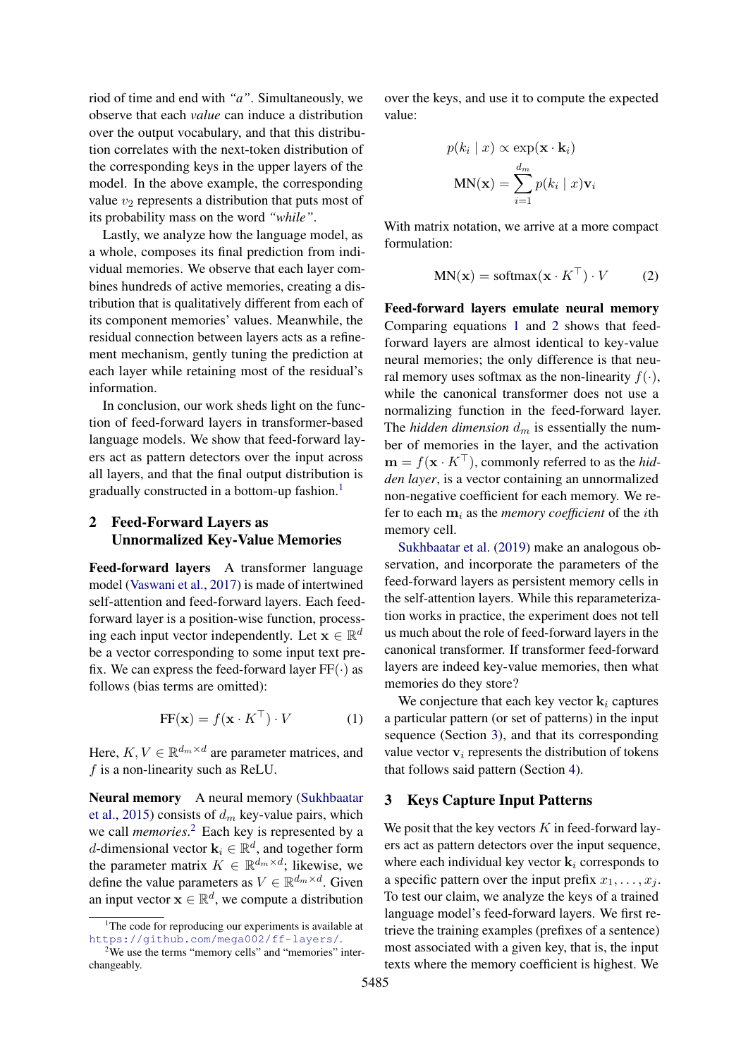riod of time and end with *"a"*. Simultaneously, we observe that each *value* can induce a distribution over the output vocabulary, and that this distribution correlates with the next-token distribution of the corresponding keys in the upper layers of the model. In the above example, the corresponding value  $v_2$  represents a distribution that puts most of its probability mass on the word *"while"*.

Lastly, we analyze how the language model, as a whole, composes its final prediction from individual memories. We observe that each layer combines hundreds of active memories, creating a distribution that is qualitatively different from each of its component memories' values. Meanwhile, the residual connection between layers acts as a refinement mechanism, gently tuning the prediction at each layer while retaining most of the residual's information.

In conclusion, our work sheds light on the function of feed-forward layers in transformer-based language models. We show that feed-forward layers act as pattern detectors over the input across all layers, and that the final output distribution is gradually constructed in a bottom-up fashion.<sup>[1](#page-1-0)</sup>

## 2 Feed-Forward Layers as Unnormalized Key-Value Memories

Feed-forward layers A transformer language model [\(Vaswani et al.,](#page-9-0) [2017\)](#page-9-0) is made of intertwined self-attention and feed-forward layers. Each feedforward layer is a position-wise function, processing each input vector independently. Let  $\mathbf{x} \in \mathbb{R}^d$ be a vector corresponding to some input text prefix. We can express the feed-forward layer  $FF(\cdot)$  as follows (bias terms are omitted):

$$
FF(\mathbf{x}) = f(\mathbf{x} \cdot K^{\top}) \cdot V \tag{1}
$$

Here,  $K, V \in \mathbb{R}^{d_m \times d}$  are parameter matrices, and  $f$  is a non-linearity such as ReLU.

Neural memory A neural memory [\(Sukhbaatar](#page-9-3) [et al.,](#page-9-3) [2015\)](#page-9-3) consists of  $d_m$  key-value pairs, which we call *memories*. [2](#page-1-1) Each key is represented by a d-dimensional vector  $\mathbf{k}_i \in \mathbb{R}^d$ , and together form the parameter matrix  $K \in \mathbb{R}^{d_m \times d}$ ; likewise, we define the value parameters as  $V \in \mathbb{R}^{d_m \times d}$ . Given an input vector  $\mathbf{x} \in \mathbb{R}^d$ , we compute a distribution

over the keys, and use it to compute the expected value:

$$
p(k_i | x) \propto \exp(\mathbf{x} \cdot \mathbf{k}_i)
$$

$$
MN(\mathbf{x}) = \sum_{i=1}^{d_m} p(k_i | x) \mathbf{v}_i
$$

With matrix notation, we arrive at a more compact formulation:

<span id="page-1-3"></span>
$$
MN(\mathbf{x}) = softmax(\mathbf{x} \cdot K^{\top}) \cdot V \tag{2}
$$

Feed-forward layers emulate neural memory Comparing equations [1](#page-1-2) and [2](#page-1-3) shows that feedforward layers are almost identical to key-value neural memories; the only difference is that neural memory uses softmax as the non-linearity  $f(\cdot)$ , while the canonical transformer does not use a normalizing function in the feed-forward layer. The *hidden dimension*  $d_m$  is essentially the number of memories in the layer, and the activation  $\mathbf{m} = f(\mathbf{x} \cdot K^{\top})$ , commonly referred to as the *hidden layer*, is a vector containing an unnormalized non-negative coefficient for each memory. We refer to each  $m_i$  as the *memory coefficient* of the *i*th memory cell.

[Sukhbaatar et al.](#page-9-4) [\(2019\)](#page-9-4) make an analogous observation, and incorporate the parameters of the feed-forward layers as persistent memory cells in the self-attention layers. While this reparameterization works in practice, the experiment does not tell us much about the role of feed-forward layers in the canonical transformer. If transformer feed-forward layers are indeed key-value memories, then what memories do they store?

<span id="page-1-2"></span>We conjecture that each key vector  $\mathbf{k}_i$  captures a particular pattern (or set of patterns) in the input sequence (Section [3\)](#page-1-4), and that its corresponding value vector  $v_i$  represents the distribution of tokens that follows said pattern (Section [4\)](#page-3-0).

## <span id="page-1-4"></span>3 Keys Capture Input Patterns

We posit that the key vectors  $K$  in feed-forward layers act as pattern detectors over the input sequence, where each individual key vector  $\mathbf{k}_i$  corresponds to a specific pattern over the input prefix  $x_1, \ldots, x_i$ . To test our claim, we analyze the keys of a trained language model's feed-forward layers. We first retrieve the training examples (prefixes of a sentence) most associated with a given key, that is, the input texts where the memory coefficient is highest. We

<span id="page-1-0"></span> $1$ <sup>1</sup>The code for reproducing our experiments is available at <https://github.com/mega002/ff-layers/>.

<span id="page-1-1"></span><sup>&</sup>lt;sup>2</sup>We use the terms "memory cells" and "memories" interchangeably.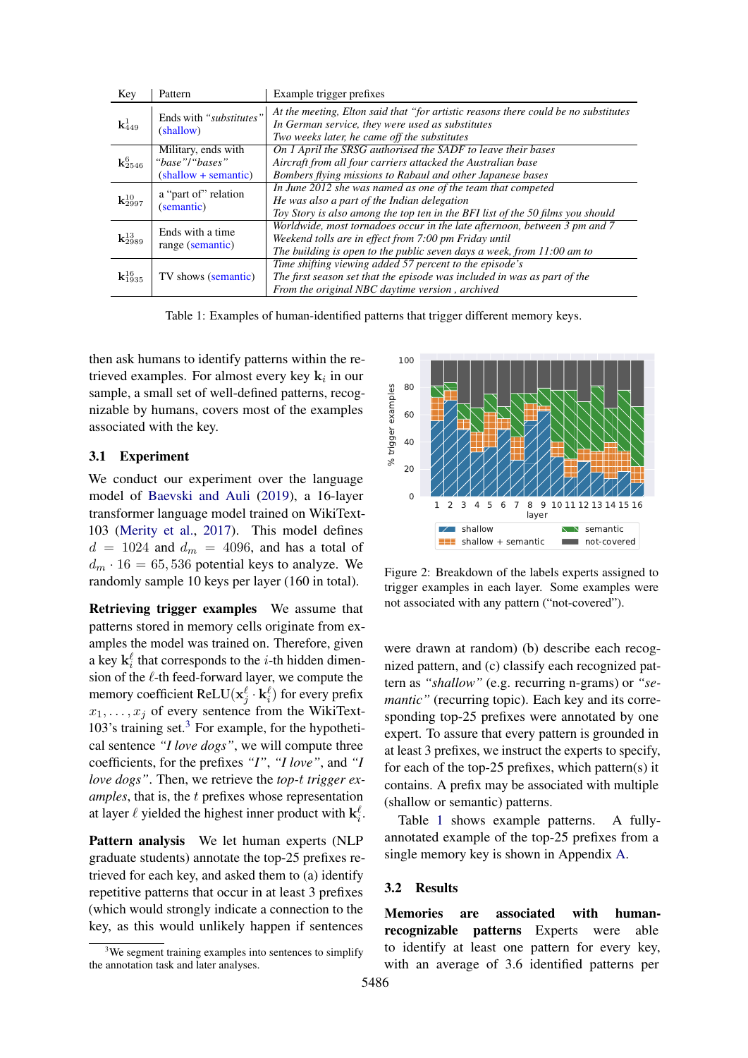<span id="page-2-1"></span>

| Key                       | Pattern                                                       | Example trigger prefixes                                                                                                                                                                                       |  |
|---------------------------|---------------------------------------------------------------|----------------------------------------------------------------------------------------------------------------------------------------------------------------------------------------------------------------|--|
| ${\bf k}_{449}^1$         | Ends with "substitutes"<br>(shallow)                          | At the meeting, Elton said that "for artistic reasons there could be no substitutes<br>In German service, they were used as substitutes<br>Two weeks later, he came off the substitutes                        |  |
| $\mathbf{k}^6_{2546}$     | Military, ends with<br>"base"/"bases"<br>(shallow + semantic) | On 1 April the SRSG authorised the SADF to leave their bases<br>Aircraft from all four carriers attacked the Australian base<br>Bombers flying missions to Rabaul and other Japanese bases                     |  |
| ${\bf k}^{10}_{2997}$     | a "part of" relation<br>(semantic)                            | In June 2012 she was named as one of the team that competed<br>He was also a part of the Indian delegation<br>Toy Story is also among the top ten in the BFI list of the 50 films you should                   |  |
| ${\bf k}^{13}_{2989}$     | Ends with a time<br>range (semantic)                          | Worldwide, most tornadoes occur in the late afternoon, between 3 pm and 7<br>Weekend tolls are in effect from 7:00 pm Friday until<br>The building is open to the public seven days a week, from $11:00$ am to |  |
| ${\mathbf k}^{16}_{1935}$ | TV shows (semantic)                                           | Time shifting viewing added 57 percent to the episode's<br>The first season set that the episode was included in was as part of the<br>From the original NBC daytime version, archived                         |  |

Table 1: Examples of human-identified patterns that trigger different memory keys.

then ask humans to identify patterns within the retrieved examples. For almost every key  $\mathbf{k}_i$  in our sample, a small set of well-defined patterns, recognizable by humans, covers most of the examples associated with the key.

#### 3.1 Experiment

We conduct our experiment over the language model of [Baevski and Auli](#page-8-3) [\(2019\)](#page-8-3), a 16-layer transformer language model trained on WikiText-103 [\(Merity et al.,](#page-9-5) [2017\)](#page-9-5). This model defines  $d = 1024$  and  $d_m = 4096$ , and has a total of  $d_m \cdot 16 = 65,536$  potential keys to analyze. We randomly sample 10 keys per layer (160 in total).

Retrieving trigger examples We assume that patterns stored in memory cells originate from examples the model was trained on. Therefore, given a key  $\mathbf{k}_i^{\ell}$  that corresponds to the *i*-th hidden dimension of the  $\ell$ -th feed-forward layer, we compute the memory coefficient ReLU $(\mathbf{x}^\ell_j \cdot \mathbf{k}^\ell_i)$  for every prefix  $x_1, \ldots, x_j$  of every sentence from the WikiText-10[3](#page-2-0)'s training set. $3$  For example, for the hypothetical sentence *"I love dogs"*, we will compute three coefficients, for the prefixes *"I"*, *"I love"*, and *"I love dogs"*. Then, we retrieve the *top-*t *trigger examples*, that is, the t prefixes whose representation at layer  $\ell$  yielded the highest inner product with  $\mathbf{k}_i^{\ell}$ .

Pattern analysis We let human experts (NLP graduate students) annotate the top-25 prefixes retrieved for each key, and asked them to (a) identify repetitive patterns that occur in at least 3 prefixes (which would strongly indicate a connection to the key, as this would unlikely happen if sentences

<span id="page-2-2"></span>

Figure 2: Breakdown of the labels experts assigned to trigger examples in each layer. Some examples were not associated with any pattern ("not-covered").

were drawn at random) (b) describe each recognized pattern, and (c) classify each recognized pattern as *"shallow"* (e.g. recurring n-grams) or *"semantic*" (recurring topic). Each key and its corresponding top-25 prefixes were annotated by one expert. To assure that every pattern is grounded in at least 3 prefixes, we instruct the experts to specify, for each of the top-25 prefixes, which pattern(s) it contains. A prefix may be associated with multiple (shallow or semantic) patterns.

Table [1](#page-2-1) shows example patterns. A fullyannotated example of the top-25 prefixes from a single memory key is shown in Appendix [A.](#page-10-0)

### 3.2 Results

Memories are associated with humanrecognizable patterns Experts were able to identify at least one pattern for every key, with an average of 3.6 identified patterns per

<span id="page-2-0"></span><sup>&</sup>lt;sup>3</sup>We segment training examples into sentences to simplify the annotation task and later analyses.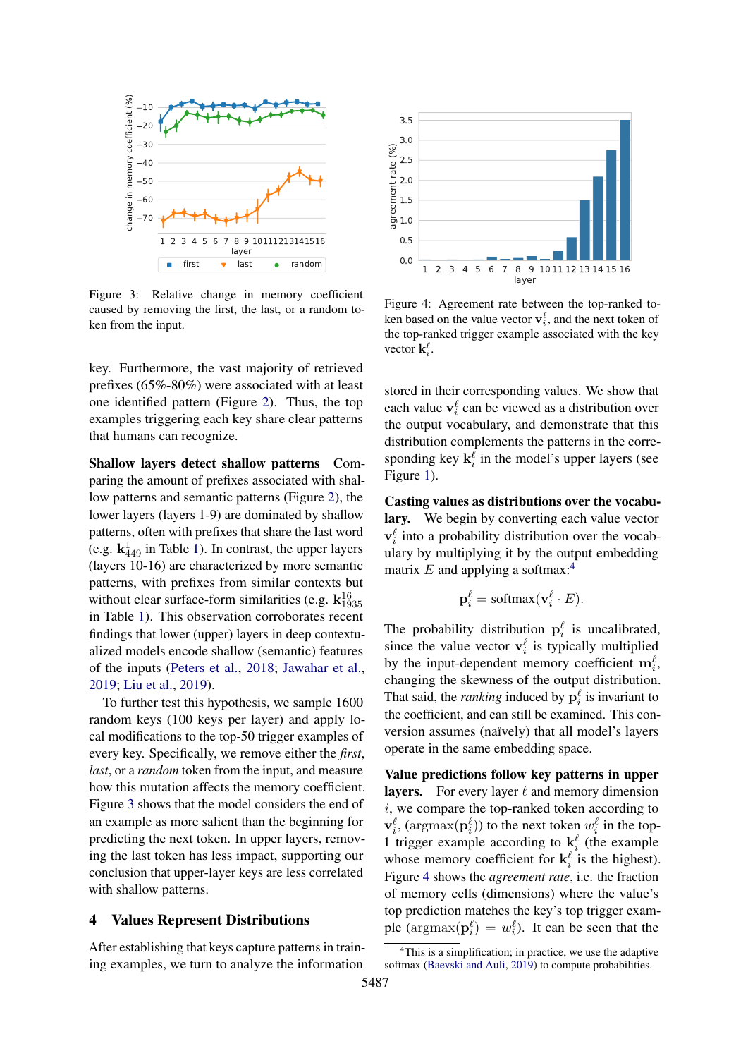<span id="page-3-1"></span>

Figure 3: Relative change in memory coefficient caused by removing the first, the last, or a random token from the input.

key. Furthermore, the vast majority of retrieved prefixes (65%-80%) were associated with at least one identified pattern (Figure [2\)](#page-2-2). Thus, the top examples triggering each key share clear patterns that humans can recognize.

1 2 3 4 5 6 7 8 9 10111213141516<br> **Example 12** and the random<br>
lative change in memory coefficient<br>
noving the first, the last, or a random to-<br>
nput.<br>
The more, the vast majority of retrieved<br>  $\epsilon$ -80%) were associated w Shallow layers detect shallow patterns Comparing the amount of prefixes associated with shallow patterns and semantic patterns (Figure [2\)](#page-2-2), the lower layers (layers 1-9) are dominated by shallow patterns, often with prefixes that share the last word (e.g.  $\mathbf{k}_{449}^1$  in Table [1\)](#page-2-1). In contrast, the upper layers (layers 10-16) are characterized by more semantic patterns, with prefixes from similar contexts but without clear surface-form similarities (e.g.  $\mathbf{k}_{1935}^{16}$ in Table [1\)](#page-2-1). This observation corroborates recent findings that lower (upper) layers in deep contextualized models encode shallow (semantic) features of the inputs [\(Peters et al.,](#page-9-6) [2018;](#page-9-6) [Jawahar et al.,](#page-8-4) [2019;](#page-8-4) [Liu et al.,](#page-9-7) [2019\)](#page-9-7).

To further test this hypothesis, we sample 1600 random keys (100 keys per layer) and apply local modifications to the top-50 trigger examples of every key. Specifically, we remove either the *first*, *last*, or a *random* token from the input, and measure how this mutation affects the memory coefficient. Figure [3](#page-3-1) shows that the model considers the end of an example as more salient than the beginning for predicting the next token. In upper layers, removing the last token has less impact, supporting our conclusion that upper-layer keys are less correlated with shallow patterns.

### <span id="page-3-0"></span>4 Values Represent Distributions

After establishing that keys capture patterns in training examples, we turn to analyze the information

<span id="page-3-3"></span>

Figure 4: Agreement rate between the top-ranked token based on the value vector  $\mathbf{v}_i^{\ell}$ , and the next token of the top-ranked trigger example associated with the key vector  $\mathbf{k}_i^{\ell}$ .

stored in their corresponding values. We show that each value  $v_i^{\ell}$  can be viewed as a distribution over the output vocabulary, and demonstrate that this distribution complements the patterns in the corresponding key  $\mathbf{k}_i^{\ell}$  in the model's upper layers (see Figure [1\)](#page-0-0).

Casting values as distributions over the vocabulary. We begin by converting each value vector  $\mathbf{v}_i^{\ell}$  into a probability distribution over the vocabulary by multiplying it by the output embedding matrix  $E$  and applying a softmax:<sup>[4](#page-3-2)</sup>

$$
\mathbf{p}_i^{\ell} = \text{softmax}(\mathbf{v}_i^{\ell} \cdot E).
$$

The probability distribution  $\mathbf{p}_i^{\ell}$  is uncalibrated, since the value vector  $\mathbf{v}_i^{\ell}$  is typically multiplied by the input-dependent memory coefficient  $\mathbf{m}_i^{\ell}$ , changing the skewness of the output distribution. That said, the *ranking* induced by  $p_i^{\ell}$  is invariant to the coefficient, and can still be examined. This conversion assumes (naïvely) that all model's layers operate in the same embedding space.

Value predictions follow key patterns in upper layers. For every layer  $\ell$  and memory dimension  $i$ , we compare the top-ranked token according to  $\mathbf{v}_i^{\ell}$ , (argmax $(\mathbf{p}_i^{\ell})$ ) to the next token  $w_i^{\ell}$  in the top-1 trigger example according to  $\mathbf{k}_i^{\ell}$  (the example whose memory coefficient for  $\mathbf{k}_i^{\ell}$  is the highest). Figure [4](#page-3-3) shows the *agreement rate*, i.e. the fraction of memory cells (dimensions) where the value's top prediction matches the key's top trigger example ( $\text{argmax}(\mathbf{p}_i^{\ell}) = w_i^{\ell}$ ). It can be seen that the

<span id="page-3-2"></span><sup>&</sup>lt;sup>4</sup>This is a simplification; in practice, we use the adaptive softmax [\(Baevski and Auli,](#page-8-3) [2019\)](#page-8-3) to compute probabilities.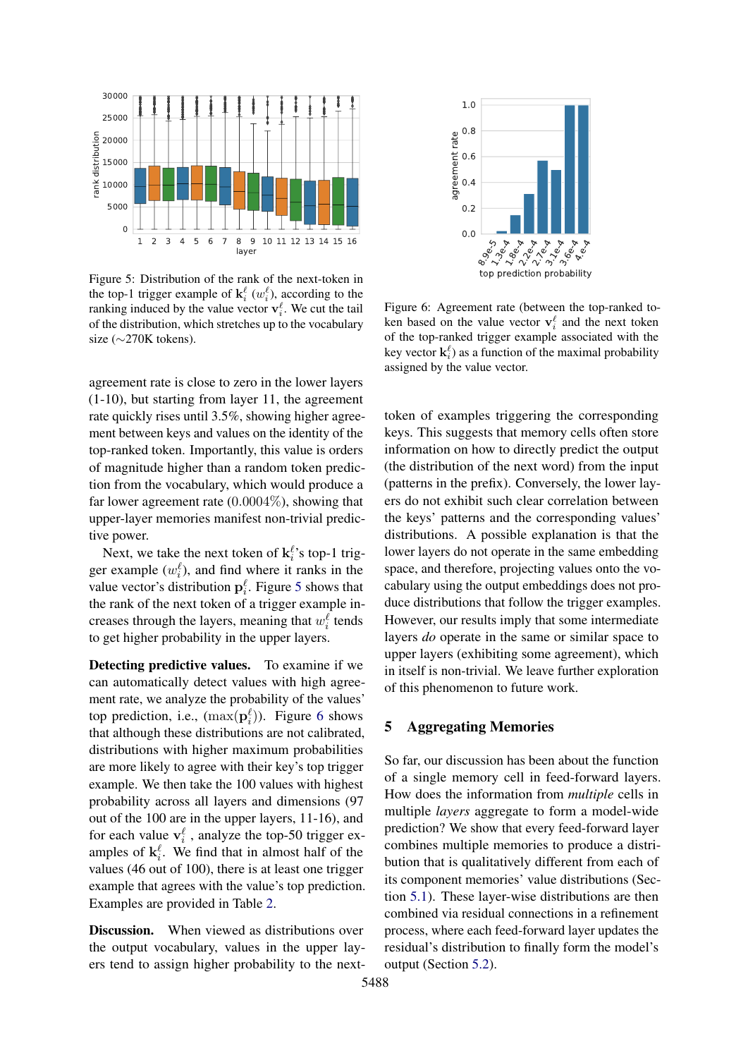<span id="page-4-0"></span>

Figure 5: Distribution of the rank of the next-token in the top-1 trigger example of  $\mathbf{k}_i^{\ell}$  ( $w_i^{\ell}$ ), according to the ranking induced by the value vector  $\mathbf{v}_i^{\ell}$ . We cut the tail of the distribution, which stretches up to the vocabulary size (∼270K tokens).

agreement rate is close to zero in the lower layers (1-10), but starting from layer 11, the agreement rate quickly rises until 3.5%, showing higher agreement between keys and values on the identity of the top-ranked token. Importantly, this value is orders of magnitude higher than a random token prediction from the vocabulary, which would produce a far lower agreement rate  $(0.0004\%)$ , showing that upper-layer memories manifest non-trivial predictive power.

Next, we take the next token of  $\mathbf{k}_i^{\ell}$ 's top-1 trigger example  $(w_i^{\ell})$ , and find where it ranks in the value vector's distribution  $\mathbf{p}_i^{\ell}$ . Figure [5](#page-4-0) shows that the rank of the next token of a trigger example increases through the layers, meaning that  $w_i^{\ell}$  tends to get higher probability in the upper layers.

Detecting predictive values. To examine if we can automatically detect values with high agreement rate, we analyze the probability of the values' top prediction, i.e.,  $(\max(\mathbf{p}_i^{\ell}))$ . Figure [6](#page-4-1) shows that although these distributions are not calibrated, distributions with higher maximum probabilities are more likely to agree with their key's top trigger example. We then take the 100 values with highest probability across all layers and dimensions (97 out of the 100 are in the upper layers, 11-16), and for each value  $\mathbf{v}_i^{\ell}$ , analyze the top-50 trigger examples of  $\mathbf{k}_i^{\ell}$ . We find that in almost half of the values (46 out of 100), there is at least one trigger example that agrees with the value's top prediction. Examples are provided in Table [2.](#page-5-0) ers the state of the next of the next-olean in  $\xi^2$  as the state of the next- of the next- olean in the next- olean in the next- olean in the next- olean in the next- olean in the next- olean in the next- olean in the n

Discussion. When viewed as distributions over the output vocabulary, values in the upper lay-

<span id="page-4-1"></span>

Figure 6: Agreement rate (between the top-ranked token based on the value vector  $\mathbf{v}_i^{\ell}$  and the next token of the top-ranked trigger example associated with the key vector  $\mathbf{k}_i^{\ell}$ ) as a function of the maximal probability assigned by the value vector.

token of examples triggering the corresponding keys. This suggests that memory cells often store information on how to directly predict the output (the distribution of the next word) from the input (patterns in the prefix). Conversely, the lower layers do not exhibit such clear correlation between the keys' patterns and the corresponding values' distributions. A possible explanation is that the lower layers do not operate in the same embedding space, and therefore, projecting values onto the vocabulary using the output embeddings does not produce distributions that follow the trigger examples. However, our results imply that some intermediate layers *do* operate in the same or similar space to upper layers (exhibiting some agreement), which in itself is non-trivial. We leave further exploration of this phenomenon to future work.

### 5 Aggregating Memories

So far, our discussion has been about the function of a single memory cell in feed-forward layers. How does the information from *multiple* cells in multiple *layers* aggregate to form a model-wide prediction? We show that every feed-forward layer combines multiple memories to produce a distribution that is qualitatively different from each of its component memories' value distributions (Section [5.1\)](#page-5-1). These layer-wise distributions are then combined via residual connections in a refinement process, where each feed-forward layer updates the residual's distribution to finally form the model's output (Section [5.2\)](#page-6-0).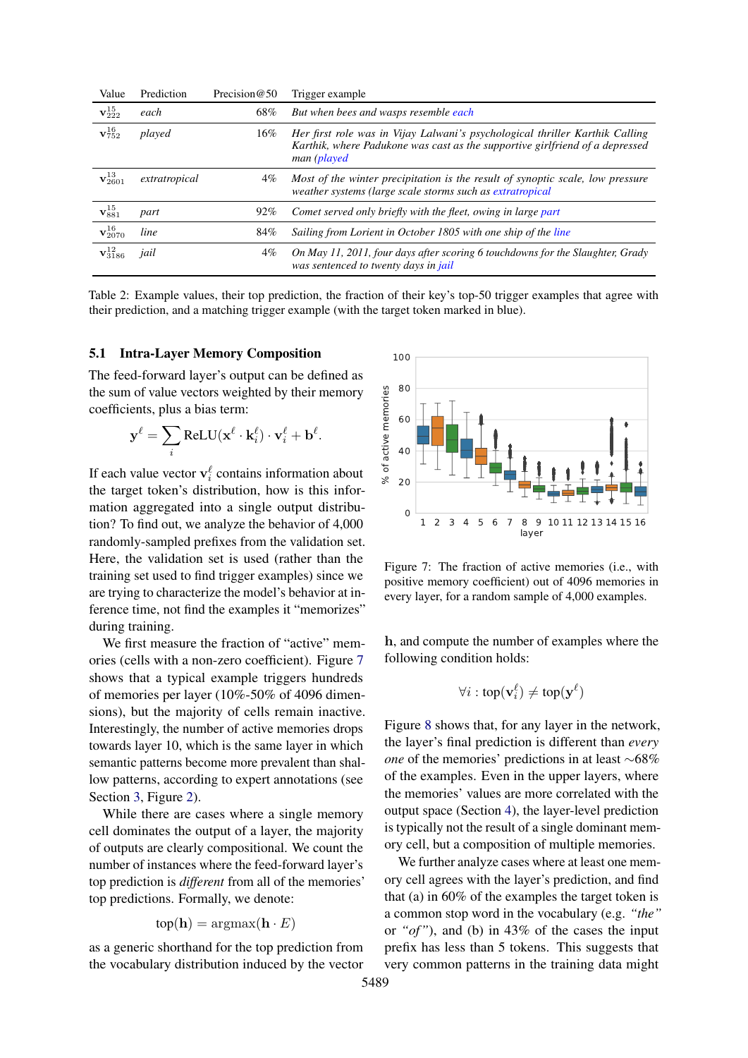<span id="page-5-0"></span>

| Value                    | Prediction    | Precision@50 | Trigger example                                                                                                                                                             |
|--------------------------|---------------|--------------|-----------------------------------------------------------------------------------------------------------------------------------------------------------------------------|
| $\mathbf{v}_{222}^{15}$  | each          | 68%          | But when bees and wasps resemble each                                                                                                                                       |
| ${\bf v}_{752}^{16}$     | played        | 16%          | Her first role was in Vijay Lalwani's psychological thriller Karthik Calling<br>Karthik, where Padukone was cast as the supportive girlfriend of a depressed<br>man (played |
| $\mathbf{v}_{2601}^{13}$ | extratropical | $4\%$        | Most of the winter precipitation is the result of synoptic scale, low pressure<br>weather systems (large scale storms such as extratropical                                 |
| $\mathbf{v}^{15}_{881}$  | part          | $92\%$       | Comet served only briefly with the fleet, owing in large part                                                                                                               |
| ${\bf v}_{2070}^{16}$    | line          | 84%          | Sailing from Lorient in October 1805 with one ship of the line                                                                                                              |
| ${\bf v}_{3186}^{12}$    | jail          | $4\%$        | On May 11, 2011, four days after scoring 6 touchdowns for the Slaughter, Grady<br>was sentenced to twenty days in jail                                                      |

Table 2: Example values, their top prediction, the fraction of their key's top-50 trigger examples that agree with their prediction, and a matching trigger example (with the target token marked in blue).

## <span id="page-5-1"></span>5.1 Intra-Layer Memory Composition

The feed-forward layer's output can be defined as the sum of value vectors weighted by their memory coefficients, plus a bias term:

$$
\mathbf{y}^{\ell} = \sum_{i} \text{ReLU}(\mathbf{x}^{\ell} \cdot \mathbf{k}_{i}^{\ell}) \cdot \mathbf{v}_{i}^{\ell} + \mathbf{b}^{\ell}.
$$

If each value vector  $\mathbf{v}_i^{\ell}$  contains information about the target token's distribution, how is this information aggregated into a single output distribution? To find out, we analyze the behavior of 4,000 randomly-sampled prefixes from the validation set. Here, the validation set is used (rather than the training set used to find trigger examples) since we are trying to characterize the model's behavior at inference time, not find the examples it "memorizes" during training.

We first measure the fraction of "active" memories (cells with a non-zero coefficient). Figure [7](#page-5-2) shows that a typical example triggers hundreds of memories per layer (10%-50% of 4096 dimensions), but the majority of cells remain inactive. Interestingly, the number of active memories drops towards layer 10, which is the same layer in which semantic patterns become more prevalent than shallow patterns, according to expert annotations (see Section [3,](#page-1-4) Figure [2\)](#page-2-2).

While there are cases where a single memory cell dominates the output of a layer, the majority of outputs are clearly compositional. We count the number of instances where the feed-forward layer's top prediction is *different* from all of the memories' top predictions. Formally, we denote:

$$
top(\mathbf{h}) = \operatorname{argmax}(\mathbf{h} \cdot E)
$$

as a generic shorthand for the top prediction from the vocabulary distribution induced by the vector

<span id="page-5-2"></span>

Figure 7: The fraction of active memories (i.e., with positive memory coefficient) out of 4096 memories in every layer, for a random sample of 4,000 examples.

h, and compute the number of examples where the following condition holds:

$$
\forall i : \text{top}(\mathbf{v}_i^{\ell}) \neq \text{top}(\mathbf{y}^{\ell})
$$

Figure [8](#page-6-1) shows that, for any layer in the network, the layer's final prediction is different than *every one* of the memories' predictions in at least ∼68% of the examples. Even in the upper layers, where the memories' values are more correlated with the output space (Section [4\)](#page-3-0), the layer-level prediction is typically not the result of a single dominant memory cell, but a composition of multiple memories.

We further analyze cases where at least one memory cell agrees with the layer's prediction, and find that (a) in 60% of the examples the target token is a common stop word in the vocabulary (e.g. *"the"* or *"of"*), and (b) in 43% of the cases the input prefix has less than 5 tokens. This suggests that very common patterns in the training data might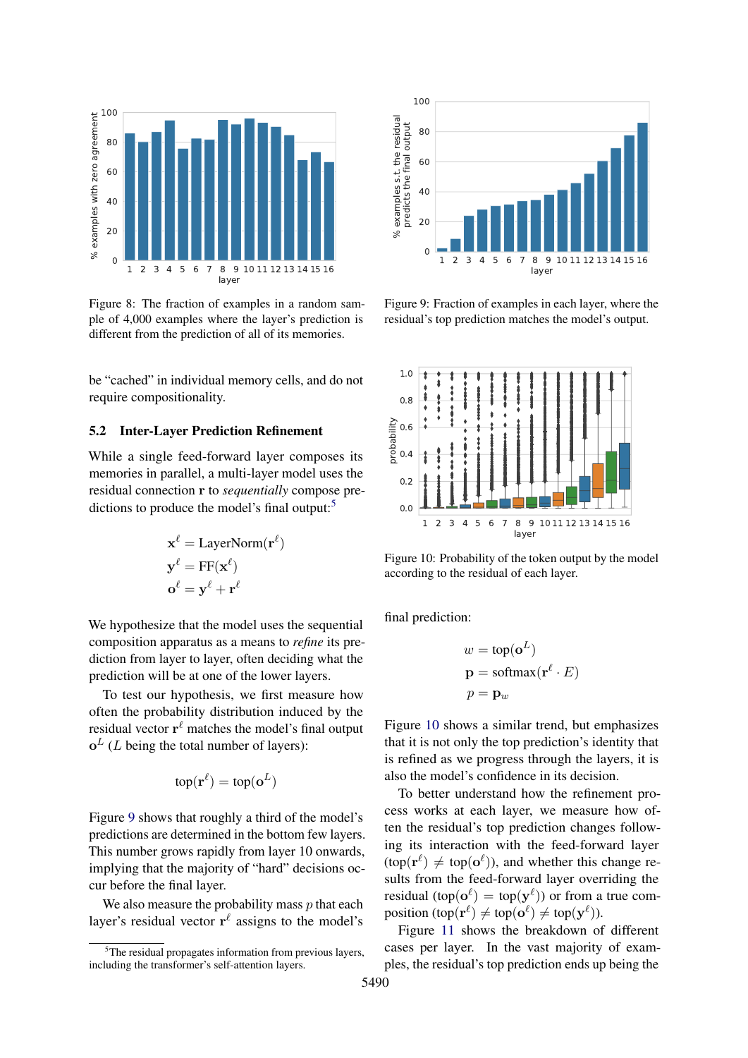<span id="page-6-1"></span>

Figure 8: The fraction of examples in a random sample of 4,000 examples where the layer's prediction is different from the prediction of all of its memories.

be "cached" in individual memory cells, and do not require compositionality.

#### <span id="page-6-0"></span>5.2 Inter-Layer Prediction Refinement

While a single feed-forward layer composes its memories in parallel, a multi-layer model uses the residual connection r to *sequentially* compose pre-dictions to produce the model's final output:<sup>[5](#page-6-2)</sup>

$$
\mathbf{x}^{\ell} = \text{LayerNorm}(\mathbf{r}^{\ell})
$$

$$
\mathbf{y}^{\ell} = \text{FF}(\mathbf{x}^{\ell})
$$

$$
\mathbf{o}^{\ell} = \mathbf{y}^{\ell} + \mathbf{r}^{\ell}
$$

We hypothesize that the model uses the sequential composition apparatus as a means to *refine* its prediction from layer to layer, often deciding what the prediction will be at one of the lower layers.

To test our hypothesis, we first measure how often the probability distribution induced by the residual vector  $\mathbf{r}^{\ell}$  matches the model's final output  $o<sup>L</sup>$  (*L* being the total number of layers):

$$
\mathrm{top}(\mathbf{r}^{\ell}) = \mathrm{top}(\mathbf{o}^L)
$$

Figure [9](#page-6-3) shows that roughly a third of the model's predictions are determined in the bottom few layers. This number grows rapidly from layer 10 onwards, implying that the majority of "hard" decisions occur before the final layer.

We also measure the probability mass  $p$  that each layer's residual vector  $r^{\ell}$  assigns to the model's

<span id="page-6-3"></span>

Figure 9: Fraction of examples in each layer, where the residual's top prediction matches the model's output.

<span id="page-6-4"></span>

Figure 10: Probability of the token output by the model according to the residual of each layer.

final prediction:

$$
w = \text{top}(\mathbf{o}^{L})
$$

$$
\mathbf{p} = \text{softmax}(\mathbf{r}^{\ell} \cdot E)
$$

$$
p = \mathbf{p}_{w}
$$

Figure [10](#page-6-4) shows a similar trend, but emphasizes that it is not only the top prediction's identity that is refined as we progress through the layers, it is also the model's confidence in its decision.

To better understand how the refinement process works at each layer, we measure how often the residual's top prediction changes following its interaction with the feed-forward layer  $(\text{top}(\mathbf{r}^{\ell}) \neq \text{top}(\mathbf{o}^{\ell}))$ , and whether this change results from the feed-forward layer overriding the residual (top( $o^{\ell}$ ) = top( $y^{\ell}$ )) or from a true composition  $(\text{top}(\mathbf{r}^{\ell}) \neq \text{top}(\mathbf{o}^{\ell}) \neq \text{top}(\mathbf{y}^{\ell})).$ 

Figure [11](#page-7-0) shows the breakdown of different cases per layer. In the vast majority of examples, the residual's top prediction ends up being the

<span id="page-6-2"></span><sup>&</sup>lt;sup>5</sup>The residual propagates information from previous layers, including the transformer's self-attention layers.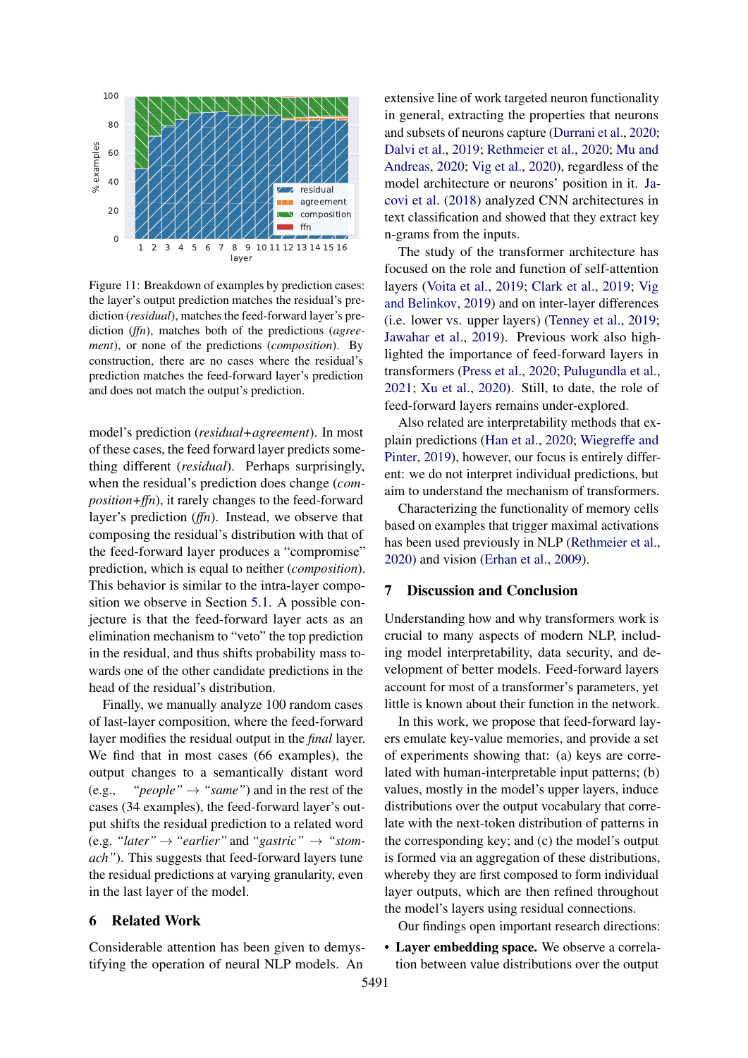<span id="page-7-0"></span>

Figure 11: Breakdown of examples by prediction cases: the layer's output prediction matches the residual's prediction (*residual*), matches the feed-forward layer's prediction (*ffn*), matches both of the predictions (*agreement*), or none of the predictions (*composition*). By construction, there are no cases where the residual's prediction matches the feed-forward layer's prediction and does not match the output's prediction.

model's prediction (*residual+agreement*). In most of these cases, the feed forward layer predicts something different (*residual*). Perhaps surprisingly, when the residual's prediction does change (*composition+ffn*), it rarely changes to the feed-forward layer's prediction (*ffn*). Instead, we observe that composing the residual's distribution with that of the feed-forward layer produces a "compromise" prediction, which is equal to neither (*composition*). This behavior is similar to the intra-layer composition we observe in Section [5.1.](#page-5-1) A possible conjecture is that the feed-forward layer acts as an elimination mechanism to "veto" the top prediction in the residual, and thus shifts probability mass towards one of the other candidate predictions in the head of the residual's distribution.

Finally, we manually analyze 100 random cases of last-layer composition, where the feed-forward layer modifies the residual output in the *final* layer. We find that in most cases (66 examples), the output changes to a semantically distant word  $(e.g., "people" \rightarrow "same")$  and in the rest of the cases (34 examples), the feed-forward layer's output shifts the residual prediction to a related word (e.g. *"later"*  $\rightarrow$  *"earlier"* and "gastric"  $\rightarrow$  "stom*ach"*). This suggests that feed-forward layers tune the residual predictions at varying granularity, even in the last layer of the model.

## 6 Related Work

Considerable attention has been given to demystifying the operation of neural NLP models. An

extensive line of work targeted neuron functionality in general, extracting the properties that neurons and subsets of neurons capture [\(Durrani et al.,](#page-8-5) [2020;](#page-8-5) [Dalvi et al.,](#page-8-6) [2019;](#page-8-6) [Rethmeier et al.,](#page-9-8) [2020;](#page-9-8) [Mu and](#page-9-9) [Andreas,](#page-9-9) [2020;](#page-9-9) [Vig et al.,](#page-9-10) [2020\)](#page-9-10), regardless of the model architecture or neurons' position in it. [Ja](#page-8-7)[covi et al.](#page-8-7) [\(2018\)](#page-8-7) analyzed CNN architectures in text classification and showed that they extract key n-grams from the inputs.

The study of the transformer architecture has focused on the role and function of self-attention layers [\(Voita et al.,](#page-9-1) [2019;](#page-9-1) [Clark et al.,](#page-8-2) [2019;](#page-8-2) [Vig](#page-9-2) [and Belinkov,](#page-9-2) [2019\)](#page-9-2) and on inter-layer differences (i.e. lower vs. upper layers) [\(Tenney et al.,](#page-9-11) [2019;](#page-9-11) [Jawahar et al.,](#page-8-4) [2019\)](#page-8-4). Previous work also highlighted the importance of feed-forward layers in transformers [\(Press et al.,](#page-9-12) [2020;](#page-9-12) [Pulugundla et al.,](#page-9-13) [2021;](#page-9-13) [Xu et al.,](#page-9-14) [2020\)](#page-9-14). Still, to date, the role of feed-forward layers remains under-explored.

Also related are interpretability methods that explain predictions [\(Han et al.,](#page-8-8) [2020;](#page-8-8) [Wiegreffe and](#page-9-15) [Pinter,](#page-9-15) [2019\)](#page-9-15), however, our focus is entirely different: we do not interpret individual predictions, but aim to understand the mechanism of transformers.

Characterizing the functionality of memory cells based on examples that trigger maximal activations has been used previously in NLP [\(Rethmeier et al.,](#page-9-8) [2020\)](#page-9-8) and vision [\(Erhan et al.,](#page-8-9) [2009\)](#page-8-9).

## 7 Discussion and Conclusion

Understanding how and why transformers work is crucial to many aspects of modern NLP, including model interpretability, data security, and development of better models. Feed-forward layers account for most of a transformer's parameters, yet little is known about their function in the network.

In this work, we propose that feed-forward layers emulate key-value memories, and provide a set of experiments showing that: (a) keys are correlated with human-interpretable input patterns; (b) values, mostly in the model's upper layers, induce distributions over the output vocabulary that correlate with the next-token distribution of patterns in the corresponding key; and (c) the model's output is formed via an aggregation of these distributions, whereby they are first composed to form individual layer outputs, which are then refined throughout the model's layers using residual connections.

Our findings open important research directions:

• Layer embedding space. We observe a correlation between value distributions over the output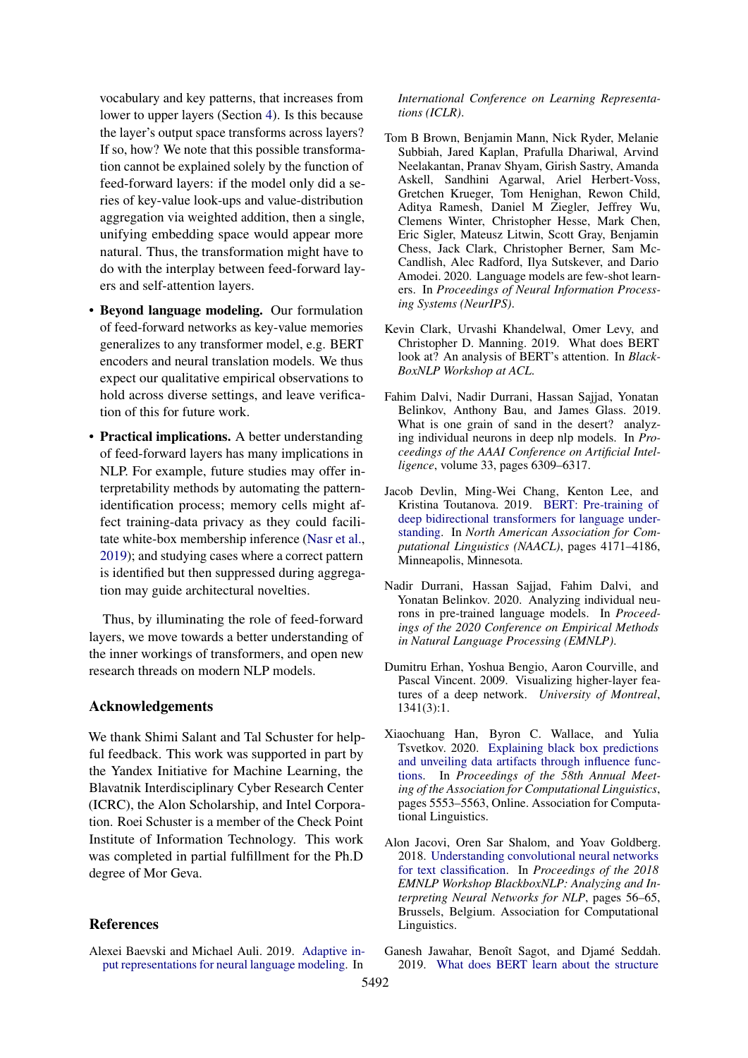vocabulary and key patterns, that increases from lower to upper layers (Section [4\)](#page-3-0). Is this because the layer's output space transforms across layers? If so, how? We note that this possible transformation cannot be explained solely by the function of feed-forward layers: if the model only did a series of key-value look-ups and value-distribution aggregation via weighted addition, then a single, unifying embedding space would appear more natural. Thus, the transformation might have to do with the interplay between feed-forward layers and self-attention layers.

- Beyond language modeling. Our formulation of feed-forward networks as key-value memories generalizes to any transformer model, e.g. BERT encoders and neural translation models. We thus expect our qualitative empirical observations to hold across diverse settings, and leave verification of this for future work.
- Practical implications. A better understanding of feed-forward layers has many implications in NLP. For example, future studies may offer interpretability methods by automating the patternidentification process; memory cells might affect training-data privacy as they could facilitate white-box membership inference [\(Nasr et al.,](#page-9-16) [2019\)](#page-9-16); and studying cases where a correct pattern is identified but then suppressed during aggregation may guide architectural novelties.

Thus, by illuminating the role of feed-forward layers, we move towards a better understanding of the inner workings of transformers, and open new research threads on modern NLP models.

## Acknowledgements

We thank Shimi Salant and Tal Schuster for helpful feedback. This work was supported in part by the Yandex Initiative for Machine Learning, the Blavatnik Interdisciplinary Cyber Research Center (ICRC), the Alon Scholarship, and Intel Corporation. Roei Schuster is a member of the Check Point Institute of Information Technology. This work was completed in partial fulfillment for the Ph.D degree of Mor Geva.

#### References

<span id="page-8-3"></span>Alexei Baevski and Michael Auli. 2019. [Adaptive in](https://openreview.net/forum?id=ByxZX20qFQ)[put representations for neural language modeling.](https://openreview.net/forum?id=ByxZX20qFQ) In

*International Conference on Learning Representations (ICLR)*.

- <span id="page-8-1"></span>Tom B Brown, Benjamin Mann, Nick Ryder, Melanie Subbiah, Jared Kaplan, Prafulla Dhariwal, Arvind Neelakantan, Pranav Shyam, Girish Sastry, Amanda Askell, Sandhini Agarwal, Ariel Herbert-Voss, Gretchen Krueger, Tom Henighan, Rewon Child, Aditya Ramesh, Daniel M Ziegler, Jeffrey Wu, Clemens Winter, Christopher Hesse, Mark Chen, Eric Sigler, Mateusz Litwin, Scott Gray, Benjamin Chess, Jack Clark, Christopher Berner, Sam Mc-Candlish, Alec Radford, Ilya Sutskever, and Dario Amodei. 2020. Language models are few-shot learners. In *Proceedings of Neural Information Processing Systems (NeurIPS)*.
- <span id="page-8-2"></span>Kevin Clark, Urvashi Khandelwal, Omer Levy, and Christopher D. Manning. 2019. What does BERT look at? An analysis of BERT's attention. In *Black-BoxNLP Workshop at ACL*.
- <span id="page-8-6"></span>Fahim Dalvi, Nadir Durrani, Hassan Sajjad, Yonatan Belinkov, Anthony Bau, and James Glass. 2019. What is one grain of sand in the desert? analyzing individual neurons in deep nlp models. In *Proceedings of the AAAI Conference on Artificial Intelligence*, volume 33, pages 6309–6317.
- <span id="page-8-0"></span>Jacob Devlin, Ming-Wei Chang, Kenton Lee, and Kristina Toutanova. 2019. [BERT: Pre-training of](https://doi.org/10.18653/v1/N19-1423) [deep bidirectional transformers for language under](https://doi.org/10.18653/v1/N19-1423)[standing.](https://doi.org/10.18653/v1/N19-1423) In *North American Association for Computational Linguistics (NAACL)*, pages 4171–4186, Minneapolis, Minnesota.
- <span id="page-8-5"></span>Nadir Durrani, Hassan Sajjad, Fahim Dalvi, and Yonatan Belinkov. 2020. Analyzing individual neurons in pre-trained language models. In *Proceedings of the 2020 Conference on Empirical Methods in Natural Language Processing (EMNLP)*.
- <span id="page-8-9"></span>Dumitru Erhan, Yoshua Bengio, Aaron Courville, and Pascal Vincent. 2009. Visualizing higher-layer features of a deep network. *University of Montreal*, 1341(3):1.
- <span id="page-8-8"></span>Xiaochuang Han, Byron C. Wallace, and Yulia Tsvetkov. 2020. [Explaining black box predictions](https://doi.org/10.18653/v1/2020.acl-main.492) [and unveiling data artifacts through influence func](https://doi.org/10.18653/v1/2020.acl-main.492)[tions.](https://doi.org/10.18653/v1/2020.acl-main.492) In *Proceedings of the 58th Annual Meeting of the Association for Computational Linguistics*, pages 5553–5563, Online. Association for Computational Linguistics.
- <span id="page-8-7"></span>Alon Jacovi, Oren Sar Shalom, and Yoav Goldberg. 2018. [Understanding convolutional neural networks](https://doi.org/10.18653/v1/W18-5408) [for text classification.](https://doi.org/10.18653/v1/W18-5408) In *Proceedings of the 2018 EMNLP Workshop BlackboxNLP: Analyzing and Interpreting Neural Networks for NLP*, pages 56–65, Brussels, Belgium. Association for Computational Linguistics.
- <span id="page-8-4"></span>Ganesh Jawahar, Benoît Sagot, and Djamé Seddah. 2019. [What does BERT learn about the structure](https://doi.org/10.18653/v1/P19-1356)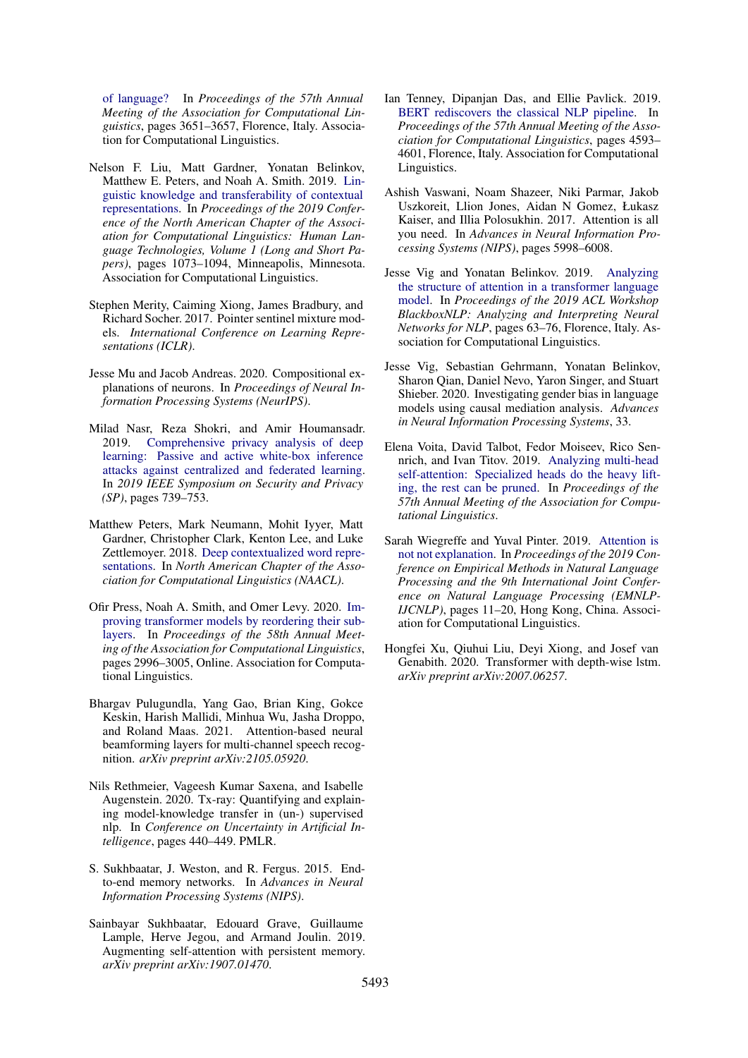[of language?](https://doi.org/10.18653/v1/P19-1356) In *Proceedings of the 57th Annual Meeting of the Association for Computational Linguistics*, pages 3651–3657, Florence, Italy. Association for Computational Linguistics.

- <span id="page-9-7"></span>Nelson F. Liu, Matt Gardner, Yonatan Belinkov, Matthew E. Peters, and Noah A. Smith. 2019. [Lin](https://doi.org/10.18653/v1/N19-1112)[guistic knowledge and transferability of contextual](https://doi.org/10.18653/v1/N19-1112) [representations.](https://doi.org/10.18653/v1/N19-1112) In *Proceedings of the 2019 Conference of the North American Chapter of the Association for Computational Linguistics: Human Language Technologies, Volume 1 (Long and Short Papers)*, pages 1073–1094, Minneapolis, Minnesota. Association for Computational Linguistics.
- <span id="page-9-5"></span>Stephen Merity, Caiming Xiong, James Bradbury, and Richard Socher. 2017. Pointer sentinel mixture models. *International Conference on Learning Representations (ICLR)*.
- <span id="page-9-9"></span>Jesse Mu and Jacob Andreas. 2020. Compositional explanations of neurons. In *Proceedings of Neural Information Processing Systems (NeurIPS)*.
- <span id="page-9-16"></span>Milad Nasr, Reza Shokri, and Amir Houmansadr. 2019. [Comprehensive privacy analysis of deep](https://doi.org/10.1109/SP.2019.00065) [learning: Passive and active white-box inference](https://doi.org/10.1109/SP.2019.00065) [attacks against centralized and federated learning.](https://doi.org/10.1109/SP.2019.00065) In *2019 IEEE Symposium on Security and Privacy (SP)*, pages 739–753.
- <span id="page-9-6"></span>Matthew Peters, Mark Neumann, Mohit Iyyer, Matt Gardner, Christopher Clark, Kenton Lee, and Luke Zettlemoyer. 2018. [Deep contextualized word repre](https://www.aclweb.org/anthology/N18-1202)[sentations.](https://www.aclweb.org/anthology/N18-1202) In *North American Chapter of the Association for Computational Linguistics (NAACL)*.
- <span id="page-9-12"></span>Ofir Press, Noah A. Smith, and Omer Levy. 2020. [Im](https://doi.org/10.18653/v1/2020.acl-main.270)[proving transformer models by reordering their sub](https://doi.org/10.18653/v1/2020.acl-main.270)[layers.](https://doi.org/10.18653/v1/2020.acl-main.270) In *Proceedings of the 58th Annual Meeting of the Association for Computational Linguistics*, pages 2996–3005, Online. Association for Computational Linguistics.
- <span id="page-9-13"></span>Bhargav Pulugundla, Yang Gao, Brian King, Gokce Keskin, Harish Mallidi, Minhua Wu, Jasha Droppo, and Roland Maas. 2021. Attention-based neural beamforming layers for multi-channel speech recognition. *arXiv preprint arXiv:2105.05920*.
- <span id="page-9-8"></span>Nils Rethmeier, Vageesh Kumar Saxena, and Isabelle Augenstein. 2020. Tx-ray: Quantifying and explaining model-knowledge transfer in (un-) supervised nlp. In *Conference on Uncertainty in Artificial Intelligence*, pages 440–449. PMLR.
- <span id="page-9-3"></span>S. Sukhbaatar, J. Weston, and R. Fergus. 2015. Endto-end memory networks. In *Advances in Neural Information Processing Systems (NIPS)*.
- <span id="page-9-4"></span>Sainbayar Sukhbaatar, Edouard Grave, Guillaume Lample, Herve Jegou, and Armand Joulin. 2019. Augmenting self-attention with persistent memory. *arXiv preprint arXiv:1907.01470*.
- <span id="page-9-11"></span>Ian Tenney, Dipanjan Das, and Ellie Pavlick. 2019. [BERT rediscovers the classical NLP pipeline.](https://doi.org/10.18653/v1/P19-1452) In *Proceedings of the 57th Annual Meeting of the Association for Computational Linguistics*, pages 4593– 4601, Florence, Italy. Association for Computational Linguistics.
- <span id="page-9-0"></span>Ashish Vaswani, Noam Shazeer, Niki Parmar, Jakob Uszkoreit, Llion Jones, Aidan N Gomez, Łukasz Kaiser, and Illia Polosukhin. 2017. Attention is all you need. In *Advances in Neural Information Processing Systems (NIPS)*, pages 5998–6008.
- <span id="page-9-2"></span>Jesse Vig and Yonatan Belinkov. 2019. [Analyzing](https://doi.org/10.18653/v1/W19-4808) [the structure of attention in a transformer language](https://doi.org/10.18653/v1/W19-4808) [model.](https://doi.org/10.18653/v1/W19-4808) In *Proceedings of the 2019 ACL Workshop BlackboxNLP: Analyzing and Interpreting Neural Networks for NLP*, pages 63–76, Florence, Italy. Association for Computational Linguistics.
- <span id="page-9-10"></span>Jesse Vig, Sebastian Gehrmann, Yonatan Belinkov, Sharon Qian, Daniel Nevo, Yaron Singer, and Stuart Shieber. 2020. Investigating gender bias in language models using causal mediation analysis. *Advances in Neural Information Processing Systems*, 33.
- <span id="page-9-1"></span>Elena Voita, David Talbot, Fedor Moiseev, Rico Sennrich, and Ivan Titov. 2019. [Analyzing multi-head](https://www.aclweb.org/anthology/P19-1580) [self-attention: Specialized heads do the heavy lift](https://www.aclweb.org/anthology/P19-1580)[ing, the rest can be pruned.](https://www.aclweb.org/anthology/P19-1580) In *Proceedings of the 57th Annual Meeting of the Association for Computational Linguistics*.
- <span id="page-9-15"></span>Sarah Wiegreffe and Yuval Pinter. 2019. [Attention is](https://doi.org/10.18653/v1/D19-1002) [not not explanation.](https://doi.org/10.18653/v1/D19-1002) In *Proceedings of the 2019 Conference on Empirical Methods in Natural Language Processing and the 9th International Joint Conference on Natural Language Processing (EMNLP-IJCNLP)*, pages 11–20, Hong Kong, China. Association for Computational Linguistics.
- <span id="page-9-14"></span>Hongfei Xu, Qiuhui Liu, Deyi Xiong, and Josef van Genabith. 2020. Transformer with depth-wise lstm. *arXiv preprint arXiv:2007.06257*.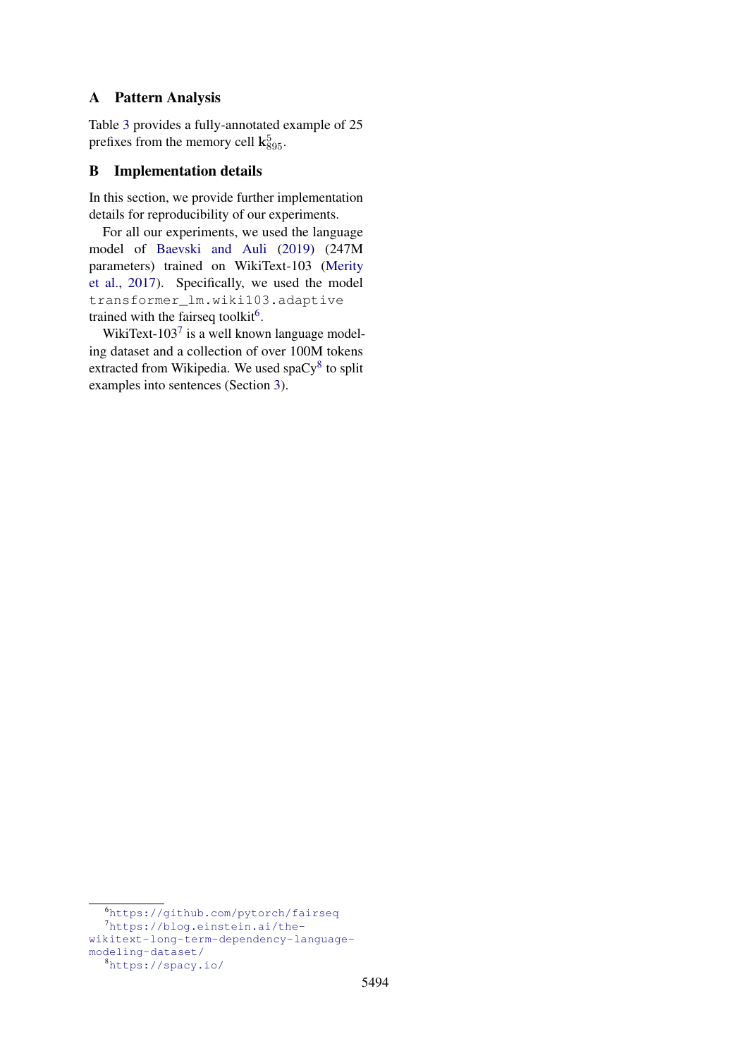## <span id="page-10-0"></span>A Pattern Analysis

Table [3](#page-11-0) provides a fully-annotated example of 25 prefixes from the memory cell  $\mathbf{k}_{895}^5$ .

## B Implementation details

In this section, we provide further implementation details for reproducibility of our experiments.

For all our experiments, we used the language model of [Baevski and Auli](#page-8-3) [\(2019\)](#page-8-3) (247M parameters) trained on WikiText-103 [\(Merity](#page-9-5) [et al.,](#page-9-5) [2017\)](#page-9-5). Specifically, we used the model transformer\_lm.wiki103.adaptive trained with the fairseq toolkit<sup>[6](#page-10-1)</sup>.

WikiText-103 $^7$  $^7$  is a well known language modeling dataset and a collection of over 100M tokens extracted from Wikipedia. We used spa $Cy^8$  $Cy^8$  to split examples into sentences (Section [3\)](#page-1-4).

<span id="page-10-2"></span><span id="page-10-1"></span><sup>6</sup><https://github.com/pytorch/fairseq>

<sup>7</sup>[https://blog.einstein.ai/the-](https://blog.einstein.ai/the-wikitext-long-term-dependency-language-modeling-dataset/)

[wikitext-long-term-dependency-language](https://blog.einstein.ai/the-wikitext-long-term-dependency-language-modeling-dataset/)[modeling-dataset/](https://blog.einstein.ai/the-wikitext-long-term-dependency-language-modeling-dataset/)

<span id="page-10-3"></span><sup>8</sup><https://spacy.io/>